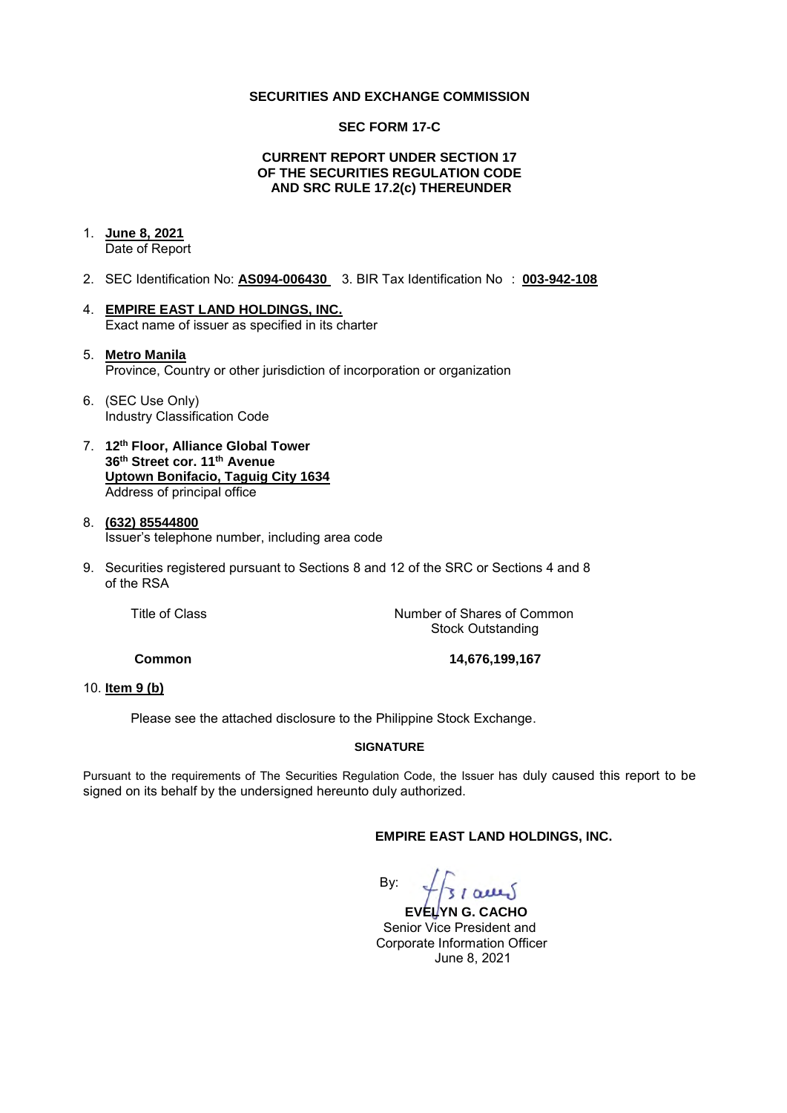#### **SECURITIES AND EXCHANGE COMMISSION**

#### **SEC FORM 17-C**

### **CURRENT REPORT UNDER SECTION 17 OF THE SECURITIES REGULATION CODE AND SRC RULE 17.2(c) THEREUNDER**

## 1. **June 8, 2021**

Date of Report

- 2. SEC Identification No: **AS094-006430** 3. BIR Tax Identification No : **003-942-108**
- 4. **EMPIRE EAST LAND HOLDINGS, INC.**  Exact name of issuer as specified in its charter
- 5. **Metro Manila**  Province, Country or other jurisdiction of incorporation or organization
- 6. (SEC Use Only) Industry Classification Code
- 7. **12th Floor, Alliance Global Tower 36th Street cor. 11th Avenue Uptown Bonifacio, Taguig City 1634** Address of principal office
- 8. **(632) 85544800**  Issuer's telephone number, including area code
- 9. Securities registered pursuant to Sections 8 and 12 of the SRC or Sections 4 and 8 of the RSA

Title of Class *Number of Shares of Common* Stock Outstanding

**Common 14,676,199,167** 

### 10. **Item 9 (b)**

Please see the attached disclosure to the Philippine Stock Exchange.

## **SIGNATURE**

Pursuant to the requirements of The Securities Regulation Code, the Issuer has duly caused this report to be signed on its behalf by the undersigned hereunto duly authorized.

## **EMPIRE EAST LAND HOLDINGS, INC.**

 By:  $7/310000$ 

 **EVELYN G. CACHO** Senior Vice President and Corporate Information Officer June 8, 2021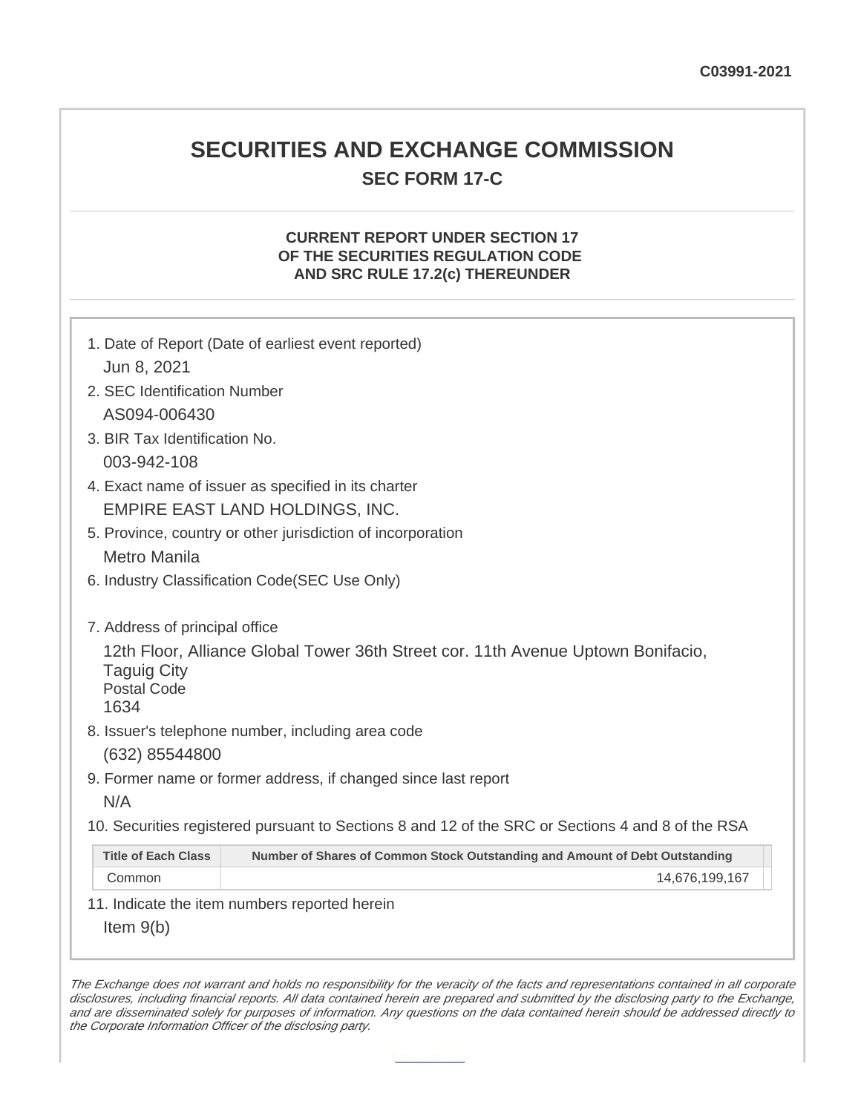## **SECURITIES AND EXCHANGE COMMISSION SEC FORM 17-C**

## **CURRENT REPORT UNDER SECTION 17 OF THE SECURITIES REGULATION CODE AND SRC RULE 17.2(c) THEREUNDER**

| Jun 8, 2021                                                                        | 1. Date of Report (Date of earliest event reported)                                               |
|------------------------------------------------------------------------------------|---------------------------------------------------------------------------------------------------|
| 2. SEC Identification Number                                                       |                                                                                                   |
| AS094-006430                                                                       |                                                                                                   |
| 3. BIR Tax Identification No.                                                      |                                                                                                   |
|                                                                                    |                                                                                                   |
| 003-942-108                                                                        |                                                                                                   |
|                                                                                    | 4. Exact name of issuer as specified in its charter                                               |
|                                                                                    | EMPIRE EAST LAND HOLDINGS, INC.                                                                   |
| 5. Province, country or other jurisdiction of incorporation                        |                                                                                                   |
| <b>Metro Manila</b>                                                                |                                                                                                   |
|                                                                                    | 6. Industry Classification Code(SEC Use Only)                                                     |
| 7. Address of principal office<br><b>Taguig City</b><br><b>Postal Code</b><br>1634 | 12th Floor, Alliance Global Tower 36th Street cor. 11th Avenue Uptown Bonifacio,                  |
|                                                                                    | 8. Issuer's telephone number, including area code                                                 |
| (632) 85544800                                                                     |                                                                                                   |
|                                                                                    | 9. Former name or former address, if changed since last report                                    |
| N/A                                                                                |                                                                                                   |
|                                                                                    | 10. Securities registered pursuant to Sections 8 and 12 of the SRC or Sections 4 and 8 of the RSA |
| <b>Title of Each Class</b>                                                         | Number of Shares of Common Stock Outstanding and Amount of Debt Outstanding                       |
| Common                                                                             | 14,676,199,167                                                                                    |
|                                                                                    | 11. Indicate the item numbers reported herein                                                     |
| Item $9(b)$                                                                        |                                                                                                   |

The Exchange does not warrant and holds no responsibility for the veracity of the facts and representations contained in all corporate disclosures, including financial reports. All data contained herein are prepared and submitted by the disclosing party to the Exchange, and are disseminated solely for purposes of information. Any questions on the data contained herein should be addressed directly to the Corporate Information Officer of the disclosing party.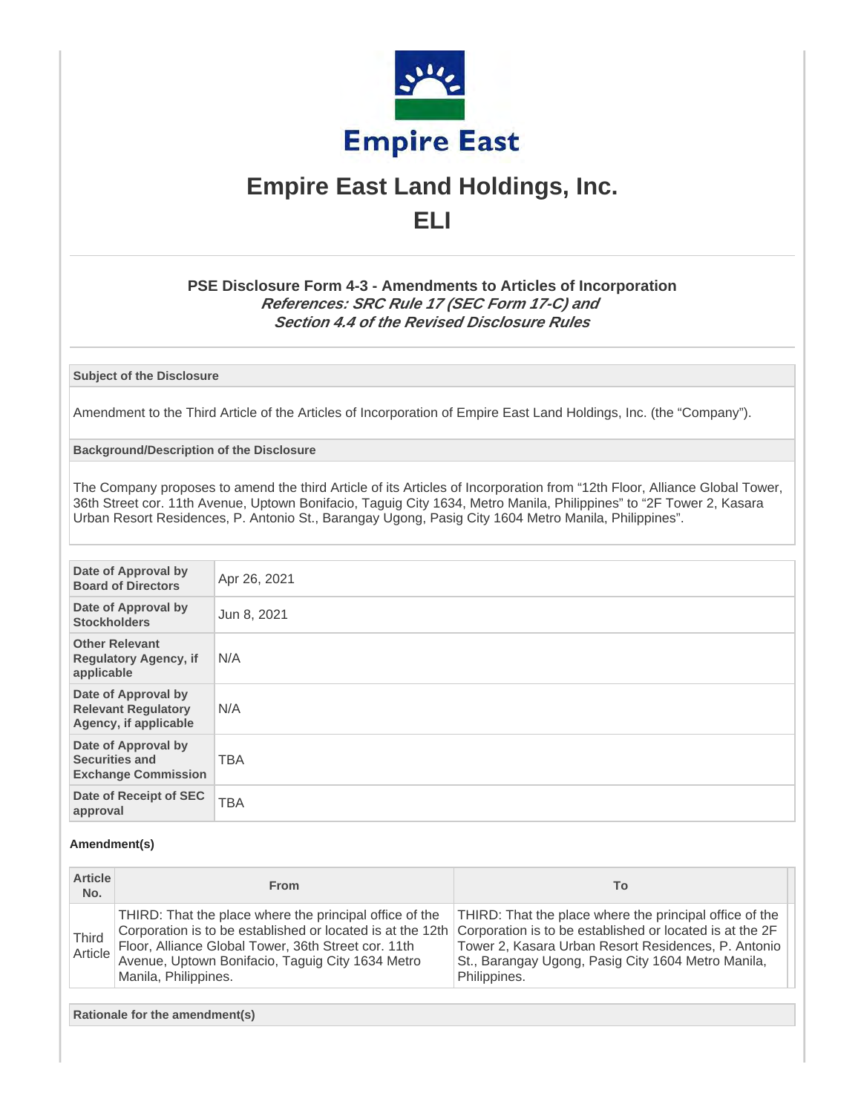

# **Empire East Land Holdings, Inc. ELI**

## **PSE Disclosure Form 4-3 - Amendments to Articles of Incorporation References: SRC Rule 17 (SEC Form 17-C) and Section 4.4 of the Revised Disclosure Rules**

**Subject of the Disclosure**

Amendment to the Third Article of the Articles of Incorporation of Empire East Land Holdings, Inc. (the "Company").

**Background/Description of the Disclosure**

The Company proposes to amend the third Article of its Articles of Incorporation from "12th Floor, Alliance Global Tower, 36th Street cor. 11th Avenue, Uptown Bonifacio, Taguig City 1634, Metro Manila, Philippines" to "2F Tower 2, Kasara Urban Resort Residences, P. Antonio St., Barangay Ugong, Pasig City 1604 Metro Manila, Philippines".

| Date of Approval by<br><b>Board of Directors</b>                           | Apr 26, 2021 |
|----------------------------------------------------------------------------|--------------|
| Date of Approval by<br><b>Stockholders</b>                                 | Jun 8, 2021  |
| <b>Other Relevant</b><br><b>Regulatory Agency, if</b><br>applicable        | N/A          |
| Date of Approval by<br><b>Relevant Regulatory</b><br>Agency, if applicable | N/A          |
| Date of Approval by<br><b>Securities and</b><br><b>Exchange Commission</b> | <b>TBA</b>   |
| Date of Receipt of SEC<br>approval                                         | <b>TBA</b>   |

#### **Amendment(s)**

| <b>Article</b><br>No.   | <b>From</b>                                                                                                                                                                                                                                              | To                                                                                                                                                                                                                                               |
|-------------------------|----------------------------------------------------------------------------------------------------------------------------------------------------------------------------------------------------------------------------------------------------------|--------------------------------------------------------------------------------------------------------------------------------------------------------------------------------------------------------------------------------------------------|
| <b>Third</b><br>Article | THIRD: That the place where the principal office of the<br>Corporation is to be established or located is at the 12th<br>Floor, Alliance Global Tower, 36th Street cor. 11th<br>Avenue, Uptown Bonifacio, Taguig City 1634 Metro<br>Manila, Philippines. | THIRD: That the place where the principal office of the<br>Corporation is to be established or located is at the 2F<br>Tower 2, Kasara Urban Resort Residences, P. Antonio<br>St., Barangay Ugong, Pasig City 1604 Metro Manila,<br>Philippines. |

**Rationale for the amendment(s)**